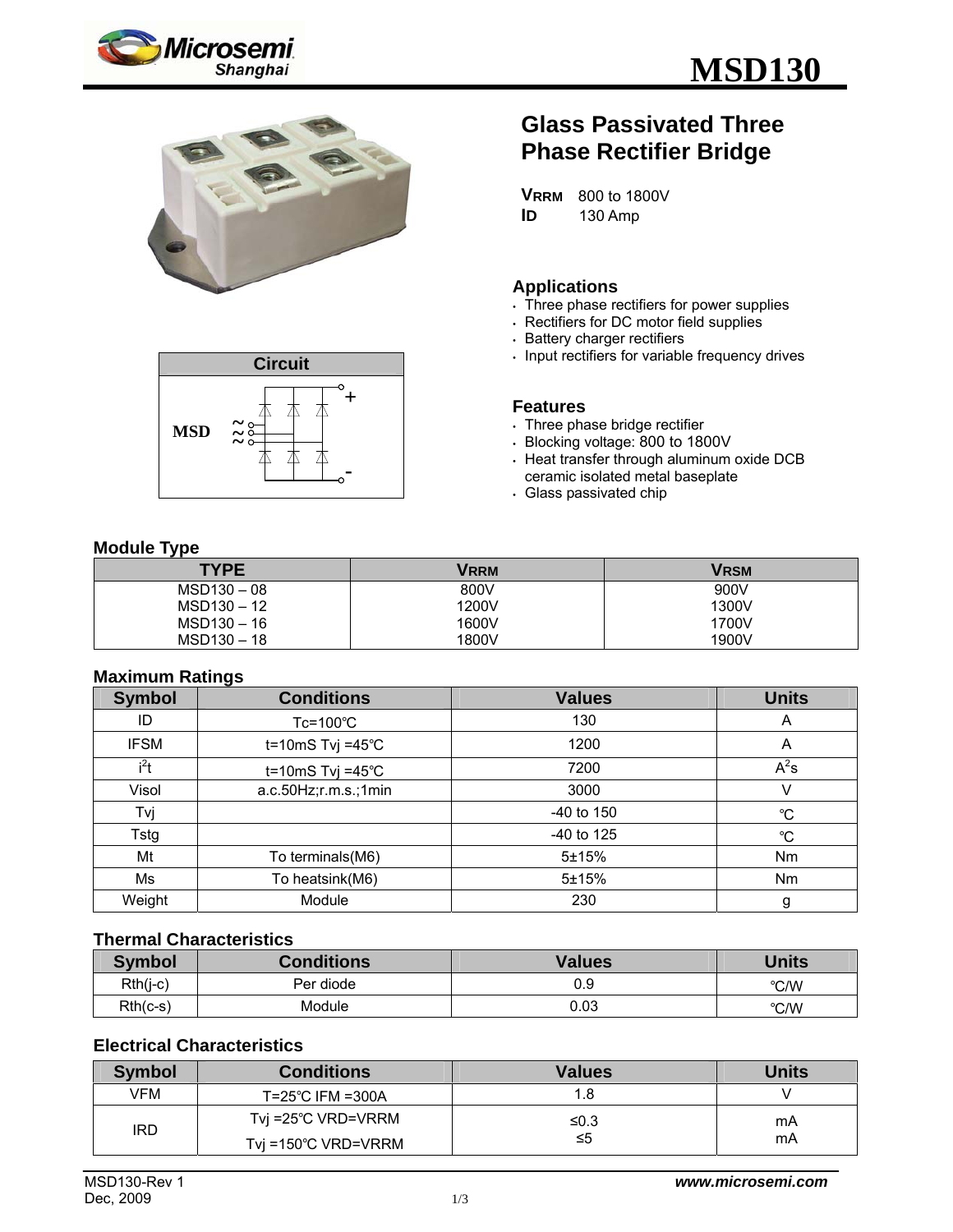





# **Glass Passivated Three Phase Rectifier Bridge**

**VRRM** 800 to 1800V **ID** 130 Amp

### **Applications**

- Three phase rectifiers for power supplies
- . Rectifiers for DC motor field supplies
- **Battery charger rectifiers**
- $\cdot$  Input rectifiers for variable frequency drives

#### **Features**

- . Three phase bridge rectifier
- <sup>y</sup> Blocking voltage: 800 to 1800V
- $\cdot$  Heat transfer through aluminum oxide DCB ceramic isolated metal baseplate
- . Glass passivated chip

#### **Module Type**

| - -<br><b>TYPE</b> | Vrrm  | Vrsm  |
|--------------------|-------|-------|
| $MSD130 - 08$      | 800V  | 900V  |
| $MSD130 - 12$      | 1200V | 1300V |
| $MSD130 - 16$      | 1600V | 1700V |
| $MSD130 - 18$      | 1800V | 1900V |

#### **Maximum Ratings**

| <b>Symbol</b> | <b>Conditions</b>           | <b>Values</b> | <b>Units</b> |
|---------------|-----------------------------|---------------|--------------|
| ID            | $Tc = 100^{\circ}C$         | 130           | A            |
| <b>IFSM</b>   | t=10mS Tvj =45 $^{\circ}$ C | 1200          | A            |
| $i^2t$        | t=10mS Tvj =45 $^{\circ}$ C | 7200          | $A^2s$       |
| Visol         | $a.c.50Hz$ ; r.m.s.; 1min   | 3000          | V            |
| Tvj           |                             | $-40$ to 150  | $^{\circ}C$  |
| Tstg          |                             | $-40$ to 125  | $^{\circ}C$  |
| Mt            | To terminals(M6)            | 5±15%         | Nm           |
| Ms            | To heatsink(M6)             | 5±15%         | <b>Nm</b>    |
| Weight        | Module                      | 230           | g            |

#### **Thermal Characteristics**

| <b>Symbol</b> | <b>Conditions</b> | <b>Values</b> | <b>Units</b> |
|---------------|-------------------|---------------|--------------|
| $Rth(j-c)$    | Per diode         | 0.9           | °C/W         |
| $Rth(c-s)$    | Module            | 0.03          | °C/W         |

# **Electrical Characteristics**

| <b>Symbol</b> | <b>Conditions</b>             | Values | <b>Units</b> |
|---------------|-------------------------------|--------|--------------|
| VFM           | $T = 25^{\circ}$ C IFM = 300A | 1.8    |              |
| <b>IRD</b>    | Tvi =25°C VRD=VRRM            | ≤0.3   | mA           |
|               | Tvi =150°C VRD=VRRM           | ≤5     | mA           |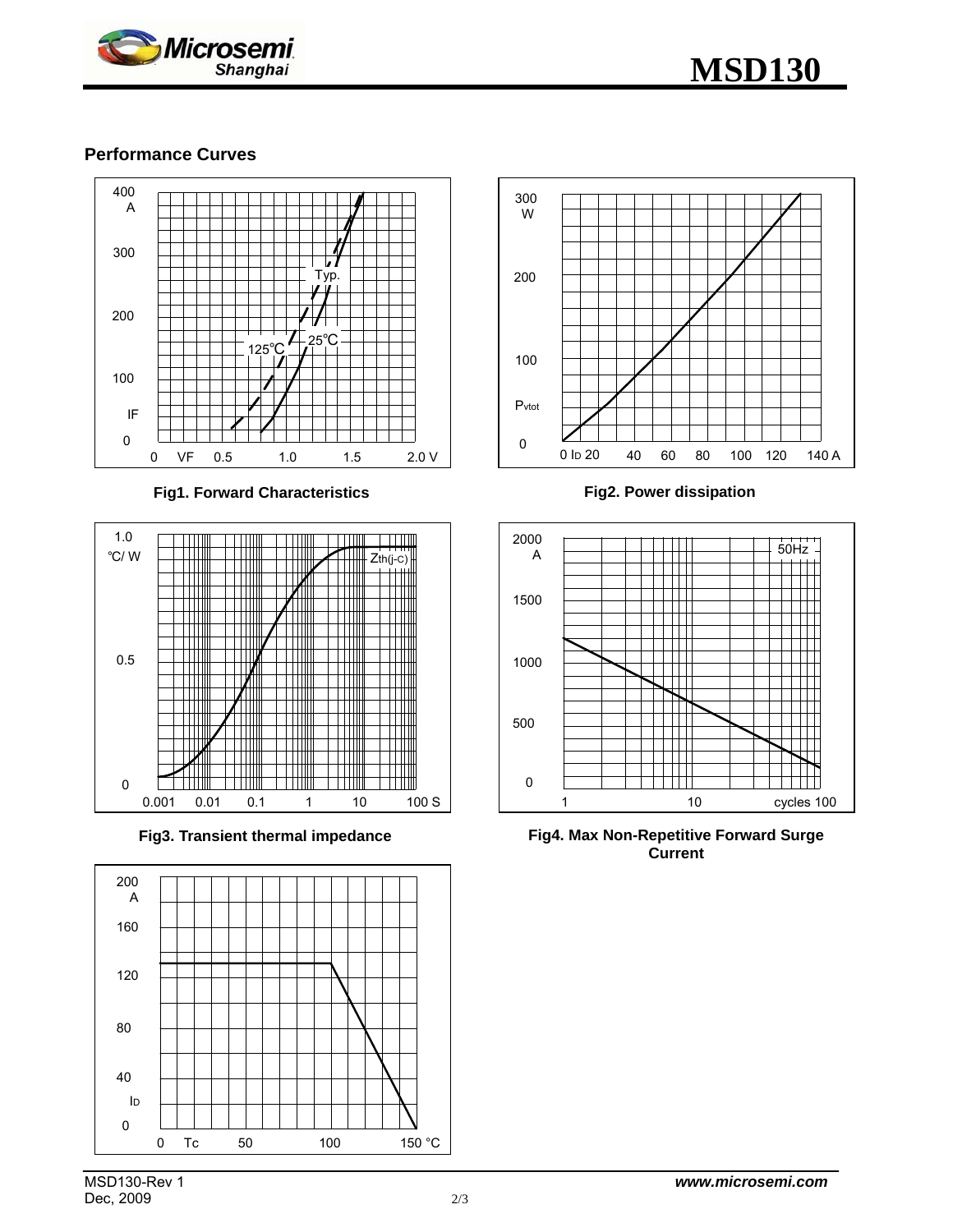



# **Performance Curves**



**Fig1. Forward Characteristics** 



**Fig3. Transient thermal impedance** 





**Fig2. Power dissipation** 



**Fig4. Max Non-Repetitive Forward Surge Current**